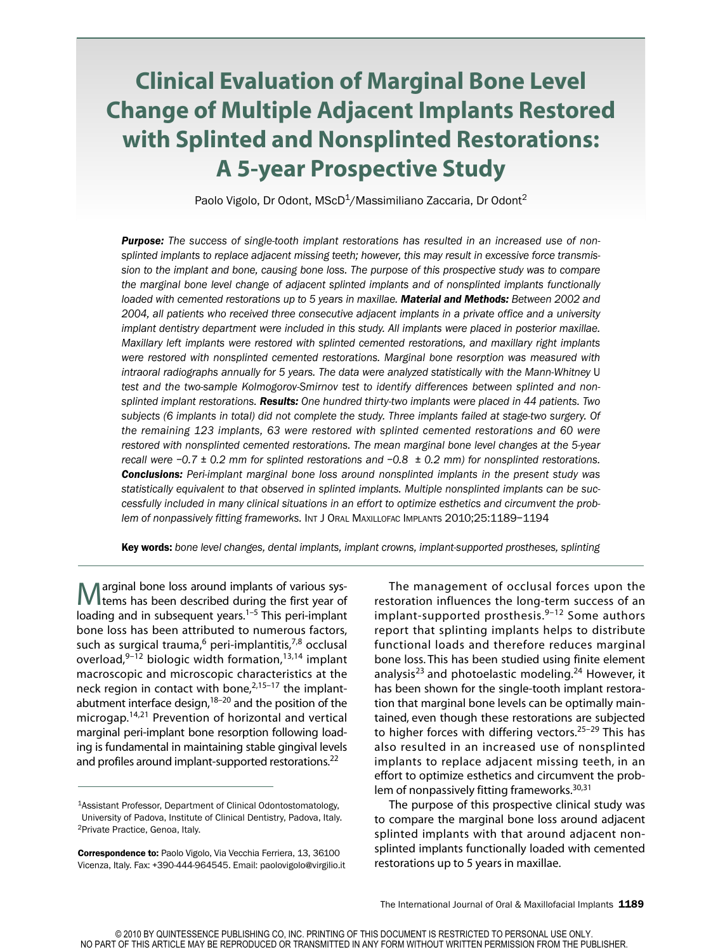# **Clinical Evaluation of Marginal Bone Level Change of Multiple Adjacent Implants Restored with Splinted and Nonsplinted Restorations: A 5-year Prospective Study**

Paolo Vigolo, Dr Odont, MScD<sup>1</sup>/Massimiliano Zaccaria, Dr Odont<sup>2</sup>

*Purpose: The success of single-tooth implant restorations has resulted in an increased use of nonsplinted implants to replace adjacent missing teeth; however, this may result in excessive force transmis*sion to the implant and bone, causing bone loss. The purpose of this prospective study was to compare *the marginal bone level change of adjacent splinted implants and of nonsplinted implants functionally loaded with cemented restorations up to 5 years in maxillae. Material and Methods: Between 2002 and 2004, all patients who received three consecutive adjacent implants in a private office and a university implant dentistry department were included in this study. All implants were placed in posterior maxillae. Maxillary left implants were restored with splinted cemented restorations, and maxillary right implants were restored with nonsplinted cemented restorations. Marginal bone resorption was measured with intraoral radiographs annually for 5 years. The data were analyzed statistically with the Mann-Whitney* U *test and the two-sample Kolmogorov-Smirnov test to identify differences between splinted and nonsplinted implant restorations. Results: One hundred thirty-two implants were placed in 44 patients. Two subjects (6 implants in total) did not complete the study. Three implants failed at stage-two surgery. Of the remaining 123 implants, 63 were restored with splinted cemented restorations and 60 were restored with nonsplinted cemented restorations. The mean marginal bone level changes at the 5-year recall were –0.7 ± 0.2 mm for splinted restorations and –0.8 ± 0.2 mm) for nonsplinted restorations. Conclusions: Peri-implant marginal bone loss around nonsplinted implants in the present study was statistically equivalent to that observed in splinted implants. Multiple nonsplinted implants can be successfully included in many clinical situations in an effort to optimize esthetics and circumvent the problem of nonpassively fitting frameworks.* INT J ORAL MAXILLOFAC IMPLANTS 2010;25:1189–1194

**Key words:** *bone level changes, dental implants, implant crowns, implant-supported prostheses, splinting*

Marginal bone loss around implants of various sys-tems has been described during the first year of loading and in subsequent years.<sup>1–5</sup> This peri-implant bone loss has been attributed to numerous factors, such as surgical trauma,<sup>6</sup> peri-implantitis,<sup>7,8</sup> occlusal overload, 9–12 biologic width formation, 13,14 implant macroscopic and microscopic characteristics at the neck region in contact with bone,<sup>2,15-17</sup> the implantabutment interface design,<sup>18-20</sup> and the position of the microgap. 14,21 Prevention of horizontal and vertical marginal peri-implant bone resorption following loading is fundamental in maintaining stable gingival levels and profiles around implant-supported restorations.<sup>22</sup>

The management of occlusal forces upon the restoration influences the long-term success of an implant-supported prosthesis. 9–12 Some authors report that splinting implants helps to distribute functional loads and therefore reduces marginal bone loss. This has been studied using finite element analysis<sup>23</sup> and photoelastic modeling.<sup>24</sup> However, it has been shown for the single-tooth implant restoration that marginal bone levels can be optimally maintained, even though these restorations are subjected to higher forces with differing vectors.<sup>25-29</sup> This has also resulted in an increased use of nonsplinted implants to replace adjacent missing teeth, in an effort to optimize esthetics and circumvent the problem of nonpassively fitting frameworks.<sup>30,31</sup>

The purpose of this prospective clinical study was to compare the marginal bone loss around adjacent splinted implants with that around adjacent nonsplinted implants functionally loaded with cemented restorations up to 5 years in maxillae.

<sup>&</sup>lt;sup>1</sup>Assistant Professor, Department of Clinical Odontostomatology, University of Padova, Institute of Clinical Dentistry, Padova, Italy. <sup>2</sup>Private Practice, Genoa, Italy.

**Correspondence to:** Paolo Vigolo, Via Vecchia Ferriera, 13, 36100 Vicenza, Italy. Fax: +390-444-964545. Email: paolovigolo@virgilio.it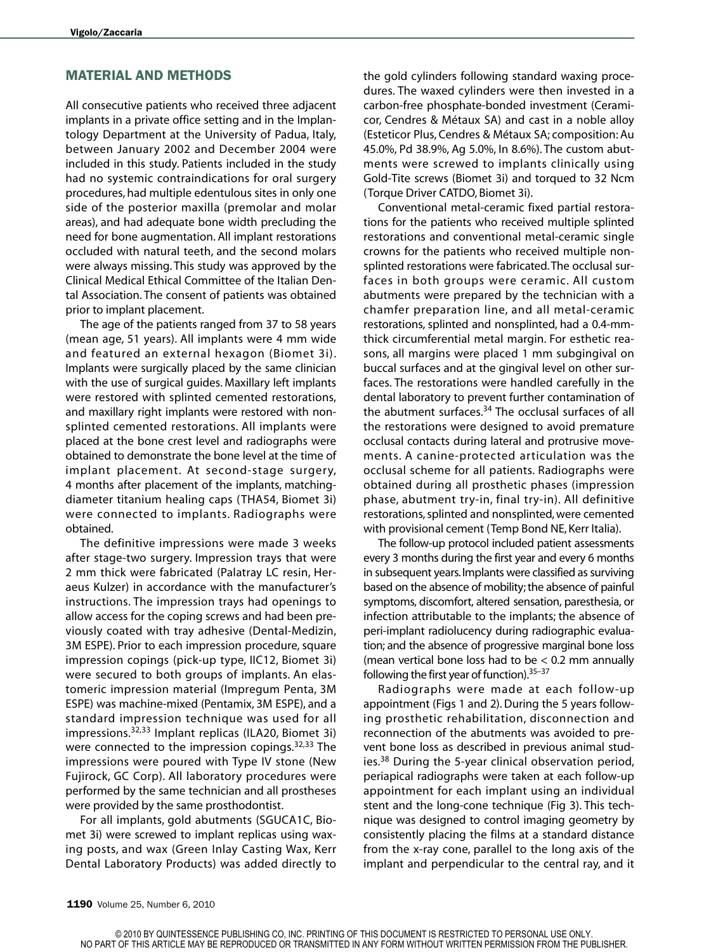## **MATERIAL AND METHODS**

All consecutive patients who received three adjacent implants in a private office setting and in the Implantology Department at the University of Padua, Italy, between January 2002 and December 2004 were included in this study. Patients included in the study had no systemic contraindications for oral surgery procedures, had multiple edentulous sites in only one side of the posterior maxilla (premolar and molar areas), and had adequate bone width precluding the need for bone augmentation. All implant restorations occluded with natural teeth, and the second molars were always missing. This study was approved by the Clinical Medical Ethical Committee of the Italian Dental Association. The consent of patients was obtained prior to implant placement.

The age of the patients ranged from 37 to 58 years (mean age, 51 years). All implants were 4 mm wide and featured an external hexagon (Biomet 3i). Implants were surgically placed by the same clinician with the use of surgical guides. Maxillary left implants were restored with splinted cemented restorations, and maxillary right implants were restored with nonsplinted cemented restorations. All implants were placed at the bone crest level and radiographs were obtained to demonstrate the bone level at the time of implant placement. At second-stage surgery, 4 months after placement of the implants, matchingdiameter titanium healing caps (THA54, Biomet 3i) were connected to implants. Radiographs were obtained.

The definitive impressions were made 3 weeks after stage-two surgery. Impression trays that were 2 mm thick were fabricated (Palatray LC resin, Heraeus Kulzer) in accordance with the manufacturer's instructions. The impression trays had openings to allow access for the coping screws and had been previously coated with tray adhesive (Dental-Medizin, 3M ESPE). Prior to each impression procedure, square impression copings (pick-up type, IIC12, Biomet 3i) were secured to both groups of implants. An elastomeric impression material (Impregum Penta, 3M ESPE) was machine-mixed (Pentamix, 3M ESPE), and a standard impression technique was used for all impressions. 32,33 Implant replicas (ILA20, Biomet 3i) were connected to the impression copings.<sup>32,33</sup> The impressions were poured with Type IV stone (New Fujirock, GC Corp). All laboratory procedures were performed by the same technician and all prostheses were provided by the same prosthodontist.

For all implants, gold abutments (SGUCA1C, Biomet 3i) were screwed to implant replicas using waxing posts, and wax (Green Inlay Casting Wax, Kerr Dental Laboratory Products) was added directly to the gold cylinders following standard waxing procedures. The waxed cylinders were then invested in a carbon-free phosphate-bonded investment (Ceramicor, Cendres & Métaux SA) and cast in a noble alloy (Esteticor Plus, Cendres & Métaux SA; composition: Au 45.0%, Pd 38.9%, Ag 5.0%, In 8.6%). The custom abutments were screwed to implants clinically using Gold-Tite screws (Biomet 3i) and torqued to 32 Ncm (Torque Driver CATDO, Biomet 3i).

Conventional metal-ceramic fixed partial restorations for the patients who received multiple splinted restorations and conventional metal-ceramic single crowns for the patients who received multiple nonsplinted restorations were fabricated.The occlusal surfaces in both groups were ceramic. All custom abutments were prepared by the technician with a chamfer preparation line, and all metal-ceramic restorations, splinted and nonsplinted, had a 0.4-mmthick circumferential metal margin. For esthetic reasons, all margins were placed 1 mm subgingival on buccal surfaces and at the gingival level on other surfaces. The restorations were handled carefully in the dental laboratory to prevent further contamination of the abutment surfaces. <sup>34</sup> The occlusal surfaces of all the restorations were designed to avoid premature occlusal contacts during lateral and protrusive movements. A canine-protected articulation was the occlusal scheme for all patients. Radiographs were obtained during all prosthetic phases (impression phase, abutment try-in, final try-in). All definitive restorations,splinted and nonsplinted,were cemented with provisional cement (Temp Bond NE, Kerr Italia).

The follow-up protocol included patient assessments every 3 months during the first year and every 6 months in subsequent years. Implants were classified as surviving based on the absence of mobility; the absence of painful symptoms, discomfort, altered sensation, paresthesia, or infection attributable to the implants; the absence of peri-implant radiolucency during radiographic evaluation; and the absence of progressive marginal bone loss (mean vertical bone loss had to be  $< 0.2$  mm annually following the first year of function). 35–37

Radiographs were made at each follow-up appointment (Figs 1 and 2).During the 5 years following prosthetic rehabilitation, disconnection and reconnection of the abutments was avoided to prevent bone loss as described in previous animal studies.<sup>38</sup> During the 5-year clinical observation period, periapical radiographs were taken at each follow-up appointment for each implant using an individual stent and the long-cone technique (Fig 3). This technique was designed to control imaging geometry by consistently placing the films at a standard distance from the x-ray cone, parallel to the long axis of the implant and perpendicular to the central ray, and it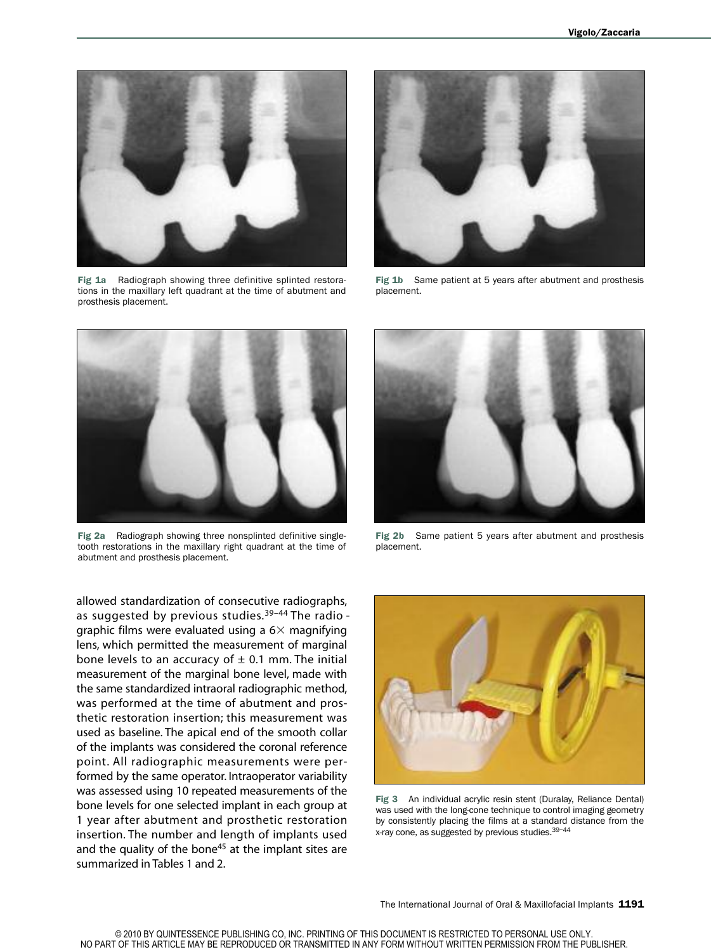

**Fig 1a** Radiograph showing three definitive splinted restorations in the maxillary left quadrant at the time of abutment and prosthesis placement.



**Fig 1b** Same patient at 5 years after abutment and prosthesis placement.



**Fig 2a** Radiograph showing three nonsplinted definitive singletooth restorations in the maxillary right quadrant at the time of abutment and prosthesis placement.

allowed standardization of consecutive radiographs, as suggested by previous studies.<sup>39-44</sup> The radio graphic films were evaluated using a  $6\times$  magnifying lens, which permitted the measurement of marginal bone levels to an accuracy of  $\pm$  0.1 mm. The initial measurement of the marginal bone level, made with the same standardized intraoral radiographic method, was performed at the time of abutment and prosthetic restoration insertion; this measurement was used as baseline. The apical end of the smooth collar of the implants was considered the coronal reference point. All radiographic measurements were performed by the same operator. Intraoperator variability was assessed using 10 repeated measurements of the bone levels for one selected implant in each group at 1 year after abutment and prosthetic restoration insertion. The number and length of implants used and the quality of the bone<sup>45</sup> at the implant sites are summarized in Tables 1 and 2.



**Fig 2b** Same patient 5 years after abutment and prosthesis placement.



**Fig 3** An individual acrylic resin stent (Duralay, Reliance Dental) was used with the long-cone technique to control imaging geometry by consistently placing the films at a standard distance from the x-ray cone, as suggested by previous studies.<sup>39-44</sup>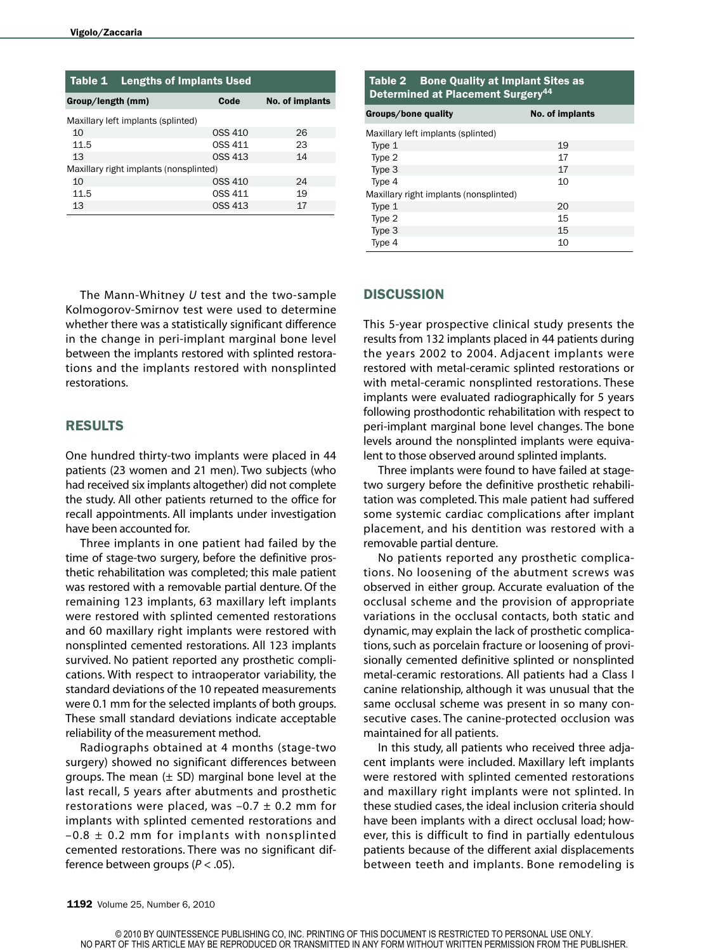| Table 1                                | <b>Lengths of Implants Used</b> |                |                 |  |
|----------------------------------------|---------------------------------|----------------|-----------------|--|
| Group/length (mm)                      |                                 | Code           | No. of implants |  |
| Maxillary left implants (splinted)     |                                 |                |                 |  |
| 10                                     |                                 | OSS 410        | 26              |  |
| 11.5                                   |                                 | OSS 411        | 23              |  |
| 13                                     |                                 | <b>OSS 413</b> | 14              |  |
| Maxillary right implants (nonsplinted) |                                 |                |                 |  |
| 10                                     |                                 | <b>OSS 410</b> | 24              |  |
| 11.5                                   |                                 | OSS 411        | 19              |  |
| 13                                     |                                 | <b>OSS 413</b> | 17              |  |

The Mann-Whitney *U* test and the two-sample Kolmogorov-Smirnov test were used to determine whether there was a statistically significant difference in the change in peri-implant marginal bone level between the implants restored with splinted restorations and the implants restored with nonsplinted restorations.

## **RESULTS**

One hundred thirty-two implants were placed in 44 patients (23 women and 21 men). Two subjects (who had received six implants altogether) did not complete the study. All other patients returned to the office for recall appointments. All implants under investigation have been accounted for.

Three implants in one patient had failed by the time of stage-two surgery, before the definitive prosthetic rehabilitation was completed; this male patient was restored with a removable partial denture. Of the remaining 123 implants, 63 maxillary left implants were restored with splinted cemented restorations and 60 maxillary right implants were restored with nonsplinted cemented restorations. All 123 implants survived. No patient reported any prosthetic complications. With respect to intraoperator variability, the standard deviations of the 10 repeated measurements were 0.1 mm for the selected implants of both groups. These small standard deviations indicate acceptable reliability of the measurement method.

Radiographs obtained at 4 months (stage-two surgery) showed no significant differences between groups. The mean  $(\pm$  SD) marginal bone level at the last recall, 5 years after abutments and prosthetic restorations were placed, was  $-0.7 \pm 0.2$  mm for implants with splinted cemented restorations and  $-0.8 \pm 0.2$  mm for implants with nonsplinted cemented restorations. There was no significant difference between groups (*P* < .05).

| Table 2 Bone Quality at Implant Sites as<br>Determined at Placement Surgery <sup>44</sup> |                 |  |  |
|-------------------------------------------------------------------------------------------|-----------------|--|--|
| Groups/bone quality                                                                       | No. of implants |  |  |
| Maxillary left implants (splinted)                                                        |                 |  |  |
| Type 1                                                                                    | 19              |  |  |
| Type 2                                                                                    | 17              |  |  |
| Type 3                                                                                    | 17              |  |  |
| Type 4                                                                                    | 10              |  |  |
| Maxillary right implants (nonsplinted)                                                    |                 |  |  |
| Type 1                                                                                    | 20              |  |  |
| Type 2                                                                                    | 15              |  |  |
| Type 3                                                                                    | 15              |  |  |
| Type 4                                                                                    | 10              |  |  |

#### **DISCUSSION**

This 5-year prospective clinical study presents the results from 132 implants placed in 44 patients during the years 2002 to 2004. Adjacent implants were restored with metal-ceramic splinted restorations or with metal-ceramic nonsplinted restorations. These implants were evaluated radiographically for 5 years following prosthodontic rehabilitation with respect to peri-implant marginal bone level changes. The bone levels around the nonsplinted implants were equivalent to those observed around splinted implants.

Three implants were found to have failed at stagetwo surgery before the definitive prosthetic rehabilitation was completed. This male patient had suffered some systemic cardiac complications after implant placement, and his dentition was restored with a removable partial denture.

No patients reported any prosthetic complications. No loosening of the abutment screws was observed in either group. Accurate evaluation of the occlusal scheme and the provision of appropriate variations in the occlusal contacts, both static and dynamic, may explain the lack of prosthetic complications, such as porcelain fracture or loosening of provisionally cemented definitive splinted or nonsplinted metal-ceramic restorations. All patients had a Class I canine relationship, although it was unusual that the same occlusal scheme was present in so many consecutive cases. The canine-protected occlusion was maintained for all patients.

In this study, all patients who received three adjacent implants were included. Maxillary left implants were restored with splinted cemented restorations and maxillary right implants were not splinted. In these studied cases, the ideal inclusion criteria should have been implants with a direct occlusal load; however, this is difficult to find in partially edentulous patients because of the different axial displacements between teeth and implants. Bone remodeling is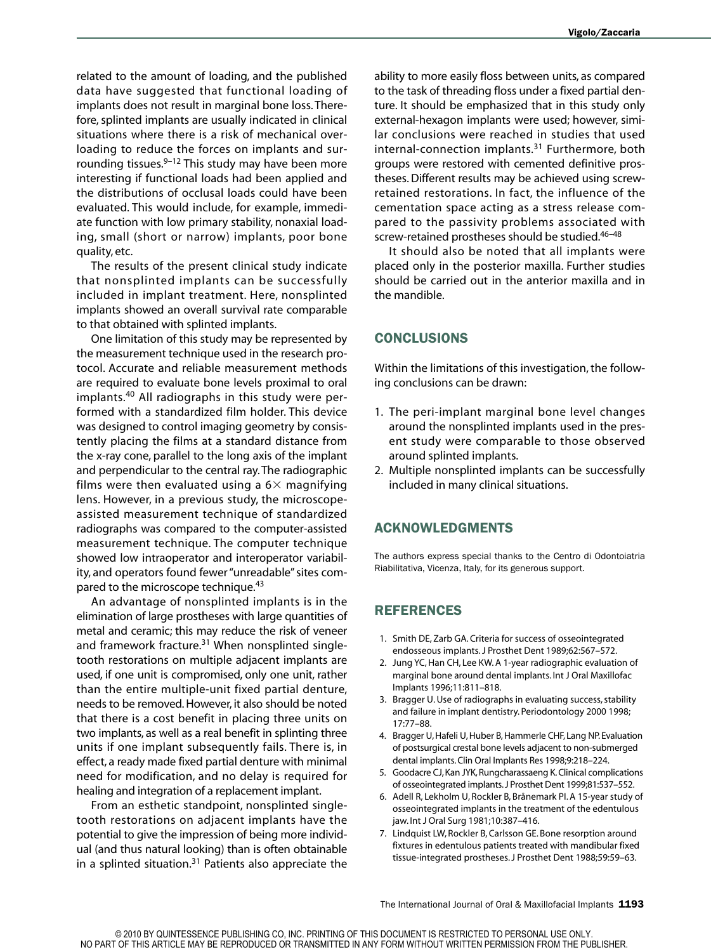related to the amount of loading, and the published data have suggested that functional loading of implants does not result in marginal bone loss.Therefore, splinted implants are usually indicated in clinical situations where there is a risk of mechanical overloading to reduce the forces on implants and surrounding tissues. 9–12 This study may have been more interesting if functional loads had been applied and the distributions of occlusal loads could have been evaluated. This would include, for example, immediate function with low primary stability, nonaxial loading, small (short or narrow) implants, poor bone quality, etc.

The results of the present clinical study indicate that nonsplinted implants can be successfully included in implant treatment. Here, nonsplinted implants showed an overall survival rate comparable to that obtained with splinted implants.

One limitation of this study may be represented by the measurement technique used in the research protocol. Accurate and reliable measurement methods are required to evaluate bone levels proximal to oral implants. <sup>40</sup> All radiographs in this study were performed with a standardized film holder. This device was designed to control imaging geometry by consistently placing the films at a standard distance from the x-ray cone, parallel to the long axis of the implant and perpendicular to the central ray.The radiographic films were then evaluated using a  $6\times$  magnifying lens. However, in a previous study, the microscopeassisted measurement technique of standardized radiographs was compared to the computer-assisted measurement technique. The computer technique showed low intraoperator and interoperator variability, and operators found fewer "unreadable" sites compared to the microscope technique.<sup>43</sup>

An advantage of nonsplinted implants is in the elimination of large prostheses with large quantities of metal and ceramic; this may reduce the risk of veneer and framework fracture.<sup>31</sup> When nonsplinted singletooth restorations on multiple adjacent implants are used, if one unit is compromised, only one unit, rather than the entire multiple-unit fixed partial denture, needs to be removed.However, it also should be noted that there is a cost benefit in placing three units on two implants, as well as a real benefit in splinting three units if one implant subsequently fails. There is, in effect, a ready made fixed partial denture with minimal need for modification, and no delay is required for healing and integration of a replacement implant.

From an esthetic standpoint, nonsplinted singletooth restorations on adjacent implants have the potential to give the impression of being more individual (and thus natural looking) than is often obtainable in a splinted situation. <sup>31</sup> Patients also appreciate the

ability to more easily floss between units, as compared to the task of threading floss under a fixed partial denture. It should be emphasized that in this study only external-hexagon implants were used; however, similar conclusions were reached in studies that used internal-connection implants. <sup>31</sup> Furthermore, both groups were restored with cemented definitive prostheses.Different results may be achieved using screwretained restorations. In fact, the influence of the cementation space acting as a stress release compared to the passivity problems associated with screw-retained prostheses should be studied.<sup>46-48</sup>

It should also be noted that all implants were placed only in the posterior maxilla. Further studies should be carried out in the anterior maxilla and in the mandible.

## **CONCLUSIONS**

Within the limitations of this investigation, the following conclusions can be drawn:

- 1. The peri-implant marginal bone level changes around the nonsplinted implants used in the present study were comparable to those observed around splinted implants.
- 2. Multiple nonsplinted implants can be successfully included in many clinical situations.

## **ACKNOWLEDGMENTS**

The authors express special thanks to the Centro di Odontoiatria Riabilitativa, Vicenza, Italy, for its generous support.

# **REFERENCES**

- 1. Smith DE, Zarb GA.Criteria for success of osseointegrated endosseous implants.J Prosthet Dent 1989;62:567–572.
- 2. Jung YC, Han CH, Lee KW. A 1-year radiographic evaluation of marginal bone around dental implants. Int J Oral Maxillofac Implants 1996;11:811–818.
- 3. Bragger U. Use of radiographs in evaluating success, stability and failure in implant dentistry. Periodontology 2000 1998; 17:77–88.
- 4. Bragger U, Hafeli U, Huber B, Hammerle CHF, Lang NP. Evaluation of postsurgical crestal bone levels adjacent to non-submerged dental implants.Clin Oral Implants Res 1998;9:218–224.
- 5. Goodacre CJ,Kan JYK,Rungcharassaeng K.Clinical complications of osseointegrated implants.J Prosthet Dent 1999;81:537–552.
- 6. Adell R, Lekholm U, Rockler B, Brånemark PI.A 15-year study of osseointegrated implants in the treatment of the edentulous jaw. Int J Oral Surg 1981;10:387–416.
- 7. Lindquist LW, Rockler B, Carlsson GE. Bone resorption around fixtures in edentulous patients treated with mandibular fixed tissue-integrated prostheses.J Prosthet Dent 1988;59:59–63.

The International Journal of Oral & Maxillofacial Implants **1193**